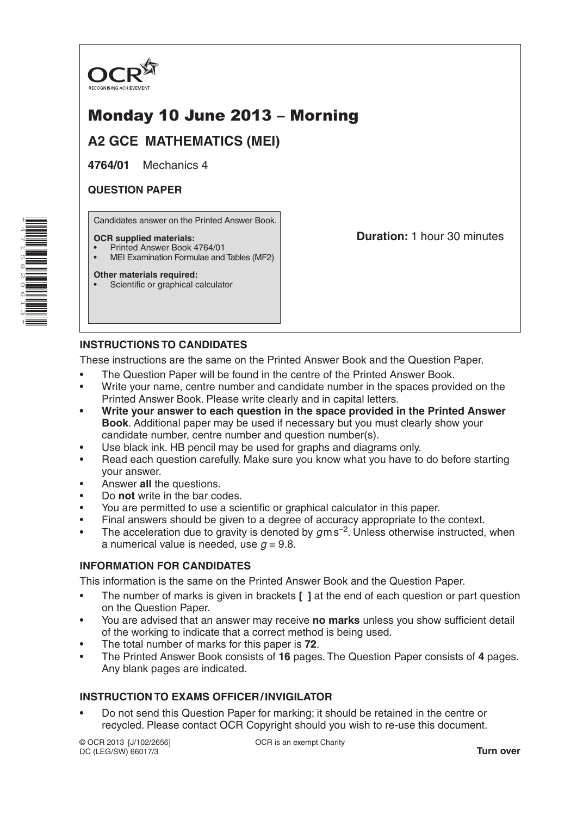

# Monday 10 June 2013 – Morning

**A2 GCE MATHEMATICS (MEI)**

**4764/01** Mechanics 4

# **QUESTION PAPER**

Candidates answer on the Printed Answer Book.

### **OCR supplied materials:**

- Printed Answer Book 4764/01
- MEI Examination Formulae and Tables (MF2)

### **Other materials required:**

Scientific or graphical calculator

**Duration:** 1 hour 30 minutes

# **INSTRUCTIONS TO CANDIDATES**

These instructions are the same on the Printed Answer Book and the Question Paper.

- The Question Paper will be found in the centre of the Printed Answer Book.
- Write your name, centre number and candidate number in the spaces provided on the Printed Answer Book. Please write clearly and in capital letters.
- **• Write your answer to each question in the space provided in the Printed Answer Book**. Additional paper may be used if necessary but you must clearly show your candidate number, centre number and question number(s).
- Use black ink. HB pencil may be used for graphs and diagrams only.
- Read each question carefully. Make sure you know what you have to do before starting your answer.
- Answer **all** the questions.
- Do **not** write in the bar codes.
- You are permitted to use a scientific or graphical calculator in this paper.
- Final answers should be given to a degree of accuracy appropriate to the context.
- The acceleration due to gravity is denoted by  $g$ ms<sup>-2</sup>. Unless otherwise instructed, when a numerical value is needed, use  $q = 9.8$ .

## **INFORMATION FOR CANDIDATES**

This information is the same on the Printed Answer Book and the Question Paper.

- The number of marks is given in brackets **[ ]** at the end of each question or part question on the Question Paper.
- You are advised that an answer may receive **no marks** unless you show sufficient detail of the working to indicate that a correct method is being used.
- The total number of marks for this paper is **72**.
- The Printed Answer Book consists of **16** pages. The Question Paper consists of **4** pages. Any blank pages are indicated.

## **INSTRUCTION TO EXAMS OFFICER/INVIGILATOR**

• Do not send this Question Paper for marking; it should be retained in the centre or recycled. Please contact OCR Copyright should you wish to re-use this document.

© OCR 2013 [J/102/2656] DC (LEG/SW) 66017/3

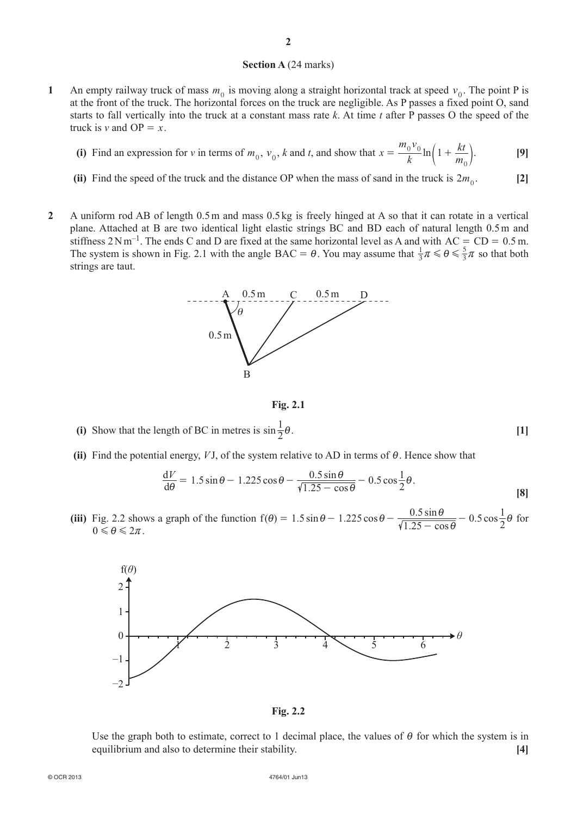#### **Section A** (24 marks)

- **1** An empty railway truck of mass  $m_0$  is moving along a straight horizontal track at speed  $v_0$ . The point P is at the front of the truck. The horizontal forces on the truck are negligible. As P passes a fixed point O, sand starts to fall vertically into the truck at a constant mass rate *k*. At time *t* after P passes O the speed of the truck is *v* and  $OP = x$ .
	- (i) Find an expression for *v* in terms of  $m_0$ ,  $v_0$ , *k* and *t*, and show that  $x = \frac{-0.0}{k} \ln \frac{m}{k}$  $m_0v$  $\frac{1}{k} \ln \left( 1 + \frac{kt}{m} \right)$  $= \frac{0.0}{k} \ln \left( 1 + \frac{kt}{m_0} \right).$  [9]
	- (ii) Find the speed of the truck and the distance OP when the mass of sand in the truck is  $2m_0$ . [2]
- **2** A uniform rod AB of length 0.5m and mass 0.5 kg is freely hinged at A so that it can rotate in a vertical plane. Attached at B are two identical light elastic strings BC and BD each of natural length 0.5m and stiffness  $2Nm^{-1}$ . The ends C and D are fixed at the same horizontal level as A and with  $AC = CD = 0.5$  m. The system is shown in Fig. 2.1 with the angle BAC =  $\theta$ . You may assume that  $\frac{1}{3}$  $\pi \leq \theta \leq \frac{5}{3}\pi$  so that both strings are taut.



**Fig. 2.1**

- (i) Show that the length of BC in metres is  $\sin \frac{1}{2}\theta$ .  $\frac{1}{2}\theta$ . [1]
- **(ii)** Find the potential energy,  $VJ$ , of the system relative to AD in terms of  $\theta$ . Hence show that

$$
\frac{\mathrm{d}V}{\mathrm{d}\theta} = 1.5\sin\theta - 1.225\cos\theta - \frac{0.5\sin\theta}{\sqrt{1.25 - \cos\theta}} - 0.5\cos\frac{1}{2}\theta.
$$
 [8]

(iii) Fig. 2.2 shows a graph of the function  $f(\theta) = 1.5 \sin \theta - 1.225 \cos \theta - \frac{0.5 \sin \theta}{\sqrt{1.25 - \cos \theta}} - 0.5$  $\frac{0.5\sin\theta}{1.25-\cos\theta} - 0.5\cos\theta$  $0.5$  $\theta$ ) = 1.5 sin  $\theta$  - 1.225 cos  $\theta$  -  $\frac{0.5 \sin \theta}{\sqrt{1.25 - \cos \theta}}$  - 0.5 cos  $\frac{1}{2}\theta$  for  $0 \leq \theta \leq 2\pi$ .



**Fig. 2.2**

Use the graph both to estimate, correct to 1 decimal place, the values of  $\theta$  for which the system is in equilibrium and also to determine their stability. **[4]**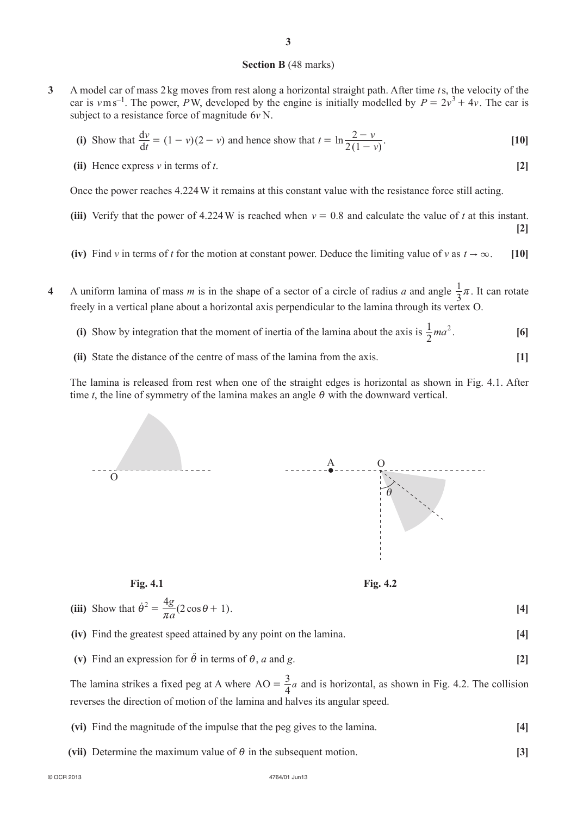#### **Section B** (48 marks)

**3** A model car of mass 2 kg moves from rest along a horizontal straight path. After time *t*s, the velocity of the car is  $v \text{ m s}^{-1}$ . The power, *PW*, developed by the engine is initially modelled by  $P = 2v^3 + 4v$ . The car is subject to a resistance force of magnitude 6*v* N.

(i) Show that 
$$
\frac{dv}{dt} = (1 - v)(2 - v)
$$
 and hence show that  $t = \ln \frac{2 - v}{2(1 - v)}$ . [10]

**(ii)** Hence express *v* in terms of *t*. **[2]**

Once the power reaches 4.224W it remains at this constant value with the resistance force still acting.

- (iii) Verify that the power of 4.224W is reached when  $v = 0.8$  and calculate the value of *t* at this instant. **[2]**
- (iv) Find *v* in terms of *t* for the motion at constant power. Deduce the limiting value of *v* as  $t \to \infty$ . [10]
- **4** A uniform lamina of mass *m* is in the shape of a sector of a circle of radius *a* and angle  $\frac{1}{3}\pi$ . It can rotate freely in a vertical plane about a horizontal axis perpendicular to the lamina through its vertex O.
	- (i) Show by integration that the moment of inertia of the lamina about the axis is  $\frac{1}{2}ma^2$ . [6]
	- **(ii)** State the distance of the centre of mass of the lamina from the axis. **[1]**

The lamina is released from rest when one of the straight edges is horizontal as shown in Fig. 4.1. After time *t*, the line of symmetry of the lamina makes an angle  $\theta$  with the downward vertical.



|  | (iii) Show that $\dot{\theta}^2 = \frac{4g}{\pi a} (2 \cos \theta + 1)$ . |  |
|--|---------------------------------------------------------------------------|--|
|--|---------------------------------------------------------------------------|--|

- **(iv)** Find the greatest speed attained by any point on the lamina. **[4]**
- **(v)** Find an expression for  $\ddot{\theta}$  in terms of  $\theta$ , *a* and *g*. **[2]**

The lamina strikes a fixed peg at A where  $AO = \frac{3}{4}a$  and is horizontal, as shown in Fig. 4.2. The collision reverses the direction of motion of the lamina and halves its angular speed.

- **(vi)** Find the magnitude of the impulse that the peg gives to the lamina. **[4]**
- (vii) Determine the maximum value of  $\theta$  in the subsequent motion. **[3]**